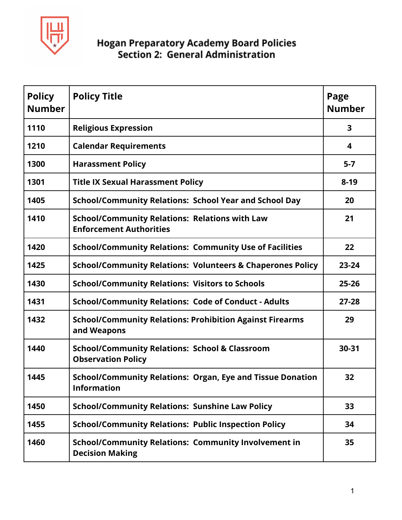

| <b>Policy</b><br><b>Number</b> | <b>Policy Title</b>                                                                     | Page<br><b>Number</b> |
|--------------------------------|-----------------------------------------------------------------------------------------|-----------------------|
| 1110                           | <b>Religious Expression</b>                                                             | 3                     |
| 1210                           | <b>Calendar Requirements</b>                                                            | 4                     |
| 1300                           | <b>Harassment Policy</b>                                                                | $5 - 7$               |
| 1301                           | <b>Title IX Sexual Harassment Policy</b>                                                | $8 - 19$              |
| 1405                           | <b>School/Community Relations: School Year and School Day</b>                           | 20                    |
| 1410                           | <b>School/Community Relations: Relations with Law</b><br><b>Enforcement Authorities</b> | 21                    |
| 1420                           | <b>School/Community Relations: Community Use of Facilities</b>                          | 22                    |
| 1425                           | <b>School/Community Relations: Volunteers &amp; Chaperones Policy</b>                   | $23 - 24$             |
| 1430                           | <b>School/Community Relations: Visitors to Schools</b>                                  | $25 - 26$             |
| 1431                           | <b>School/Community Relations: Code of Conduct - Adults</b>                             | $27 - 28$             |
| 1432                           | <b>School/Community Relations: Prohibition Against Firearms</b><br>and Weapons          | 29                    |
| 1440                           | <b>School/Community Relations: School &amp; Classroom</b><br><b>Observation Policy</b>  | 30-31                 |
| 1445                           | <b>School/Community Relations: Organ, Eye and Tissue Donation</b><br><b>Information</b> | 32                    |
| 1450                           | <b>School/Community Relations: Sunshine Law Policy</b>                                  | 33                    |
| 1455                           | <b>School/Community Relations: Public Inspection Policy</b>                             | 34                    |
| 1460                           | <b>School/Community Relations: Community Involvement in</b><br><b>Decision Making</b>   | 35                    |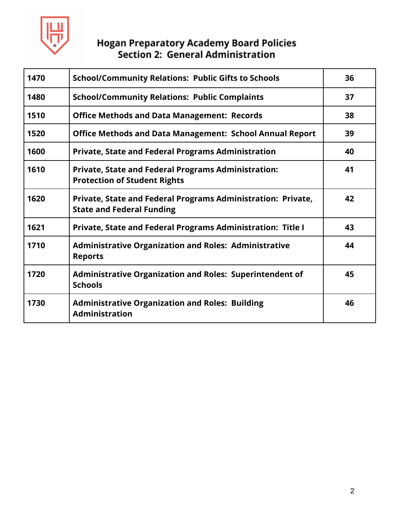

| 1470 | <b>School/Community Relations: Public Gifts to Schools</b>                                        | 36 |
|------|---------------------------------------------------------------------------------------------------|----|
| 1480 | <b>School/Community Relations: Public Complaints</b>                                              | 37 |
| 1510 | <b>Office Methods and Data Management: Records</b>                                                | 38 |
| 1520 | <b>Office Methods and Data Management: School Annual Report</b>                                   | 39 |
| 1600 | <b>Private, State and Federal Programs Administration</b>                                         | 40 |
| 1610 | <b>Private, State and Federal Programs Administration:</b><br><b>Protection of Student Rights</b> | 41 |
| 1620 | Private, State and Federal Programs Administration: Private,<br><b>State and Federal Funding</b>  | 42 |
| 1621 | <b>Private, State and Federal Programs Administration: Title I</b>                                | 43 |
| 1710 | <b>Administrative Organization and Roles: Administrative</b><br><b>Reports</b>                    | 44 |
| 1720 | <b>Administrative Organization and Roles: Superintendent of</b><br><b>Schools</b>                 | 45 |
| 1730 | <b>Administrative Organization and Roles: Building</b><br><b>Administration</b>                   | 46 |
|      |                                                                                                   |    |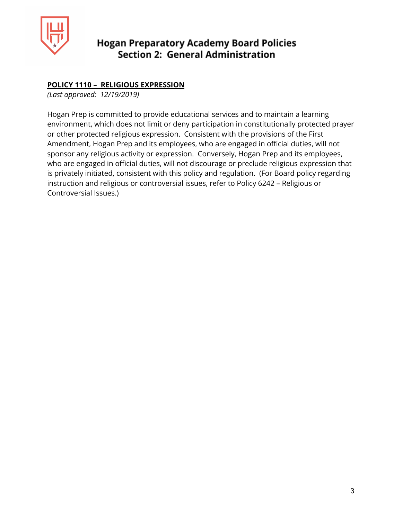

#### **POLICY 1110 – RELIGIOUS EXPRESSION**

*(Last approved: 12/19/2019)*

Hogan Prep is committed to provide educational services and to maintain a learning environment, which does not limit or deny participation in constitutionally protected prayer or other protected religious expression. Consistent with the provisions of the First Amendment, Hogan Prep and its employees, who are engaged in official duties, will not sponsor any religious activity or expression. Conversely, Hogan Prep and its employees, who are engaged in official duties, will not discourage or preclude religious expression that is privately initiated, consistent with this policy and regulation. (For Board policy regarding instruction and religious or controversial issues, refer to Policy 6242 – Religious or Controversial Issues.)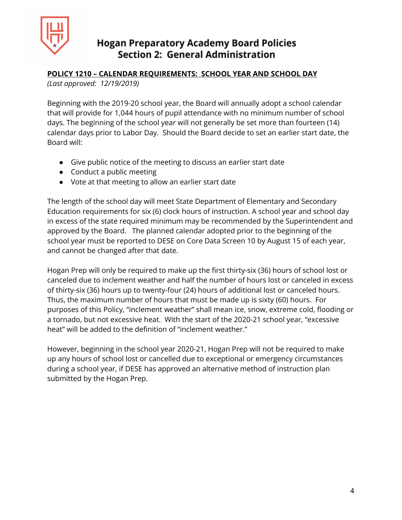

#### **POLICY 1210 – CALENDAR REQUIREMENTS: SCHOOL YEAR AND SCHOOL DAY**

*(Last approved: 12/19/2019)*

Beginning with the 2019-20 school year, the Board will annually adopt a school calendar that will provide for 1,044 hours of pupil attendance with no minimum number of school days. The beginning of the school year will not generally be set more than fourteen (14) calendar days prior to Labor Day. Should the Board decide to set an earlier start date, the Board will:

- Give public notice of the meeting to discuss an earlier start date
- Conduct a public meeting
- Vote at that meeting to allow an earlier start date

The length of the school day will meet State Department of Elementary and Secondary Education requirements for six (6) clock hours of instruction. A school year and school day in excess of the state required minimum may be recommended by the Superintendent and approved by the Board. The planned calendar adopted prior to the beginning of the school year must be reported to DESE on Core Data Screen 10 by August 15 of each year, and cannot be changed after that date.

Hogan Prep will only be required to make up the first thirty-six (36) hours of school lost or canceled due to inclement weather and half the number of hours lost or canceled in excess of thirty-six (36) hours up to twenty-four (24) hours of additional lost or canceled hours. Thus, the maximum number of hours that must be made up is sixty (60) hours. For purposes of this Policy, "inclement weather" shall mean ice, snow, extreme cold, flooding or a tornado, but not excessive heat. With the start of the 2020-21 school year, "excessive heat" will be added to the definition of "inclement weather."

However, beginning in the school year 2020-21, Hogan Prep will not be required to make up any hours of school lost or cancelled due to exceptional or emergency circumstances during a school year, if DESE has approved an alternative method of instruction plan submitted by the Hogan Prep.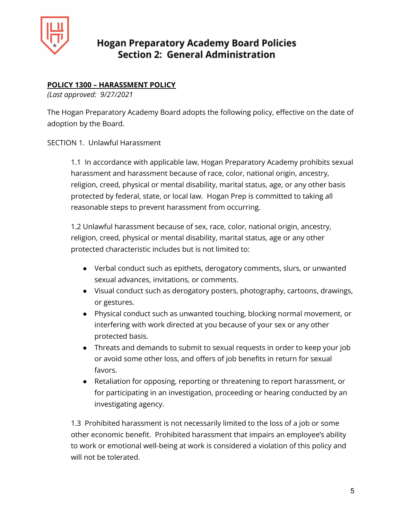

## **POLICY 1300 – HARASSMENT POLICY**

*(Last approved: 9/27/2021*

The Hogan Preparatory Academy Board adopts the following policy, effective on the date of adoption by the Board.

#### SECTION 1. Unlawful Harassment

1.1 In accordance with applicable law, Hogan Preparatory Academy prohibits sexual harassment and harassment because of race, color, national origin, ancestry, religion, creed, physical or mental disability, marital status, age, or any other basis protected by federal, state, or local law. Hogan Prep is committed to taking all reasonable steps to prevent harassment from occurring.

1.2 Unlawful harassment because of sex, race, color, national origin, ancestry, religion, creed, physical or mental disability, marital status, age or any other protected characteristic includes but is not limited to:

- Verbal conduct such as epithets, derogatory comments, slurs, or unwanted sexual advances, invitations, or comments.
- Visual conduct such as derogatory posters, photography, cartoons, drawings, or gestures.
- Physical conduct such as unwanted touching, blocking normal movement, or interfering with work directed at you because of your sex or any other protected basis.
- Threats and demands to submit to sexual requests in order to keep your job or avoid some other loss, and offers of job benefits in return for sexual favors.
- Retaliation for opposing, reporting or threatening to report harassment, or for participating in an investigation, proceeding or hearing conducted by an investigating agency.

1.3 Prohibited harassment is not necessarily limited to the loss of a job or some other economic benefit. Prohibited harassment that impairs an employee's ability to work or emotional well-being at work is considered a violation of this policy and will not be tolerated.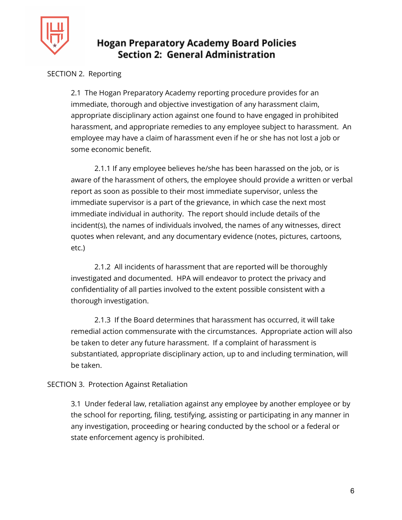

### SECTION 2. Reporting

2.1 The Hogan Preparatory Academy reporting procedure provides for an immediate, thorough and objective investigation of any harassment claim, appropriate disciplinary action against one found to have engaged in prohibited harassment, and appropriate remedies to any employee subject to harassment. An employee may have a claim of harassment even if he or she has not lost a job or some economic benefit.

2.1.1 If any employee believes he/she has been harassed on the job, or is aware of the harassment of others, the employee should provide a written or verbal report as soon as possible to their most immediate supervisor, unless the immediate supervisor is a part of the grievance, in which case the next most immediate individual in authority. The report should include details of the incident(s), the names of individuals involved, the names of any witnesses, direct quotes when relevant, and any documentary evidence (notes, pictures, cartoons, etc.)

2.1.2 All incidents of harassment that are reported will be thoroughly investigated and documented. HPA will endeavor to protect the privacy and confidentiality of all parties involved to the extent possible consistent with a thorough investigation.

2.1.3 If the Board determines that harassment has occurred, it will take remedial action commensurate with the circumstances. Appropriate action will also be taken to deter any future harassment. If a complaint of harassment is substantiated, appropriate disciplinary action, up to and including termination, will be taken.

#### SECTION 3. Protection Against Retaliation

3.1 Under federal law, retaliation against any employee by another employee or by the school for reporting, filing, testifying, assisting or participating in any manner in any investigation, proceeding or hearing conducted by the school or a federal or state enforcement agency is prohibited.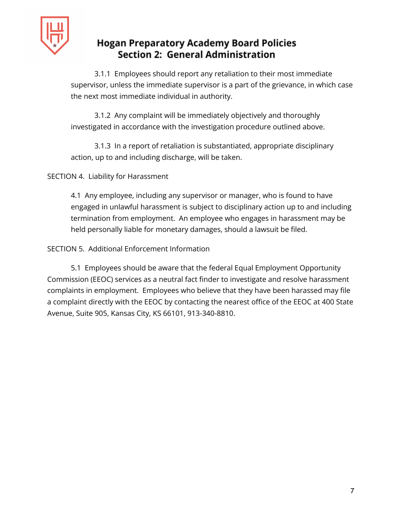

3.1.1 Employees should report any retaliation to their most immediate supervisor, unless the immediate supervisor is a part of the grievance, in which case the next most immediate individual in authority.

3.1.2 Any complaint will be immediately objectively and thoroughly investigated in accordance with the investigation procedure outlined above.

3.1.3 In a report of retaliation is substantiated, appropriate disciplinary action, up to and including discharge, will be taken.

SECTION 4. Liability for Harassment

4.1 Any employee, including any supervisor or manager, who is found to have engaged in unlawful harassment is subject to disciplinary action up to and including termination from employment. An employee who engages in harassment may be held personally liable for monetary damages, should a lawsuit be filed.

SECTION 5. Additional Enforcement Information

5.1 Employees should be aware that the federal Equal Employment Opportunity Commission (EEOC) services as a neutral fact finder to investigate and resolve harassment complaints in employment. Employees who believe that they have been harassed may file a complaint directly with the EEOC by contacting the nearest office of the EEOC at 400 State Avenue, Suite 905, Kansas City, KS 66101, 913-340-8810.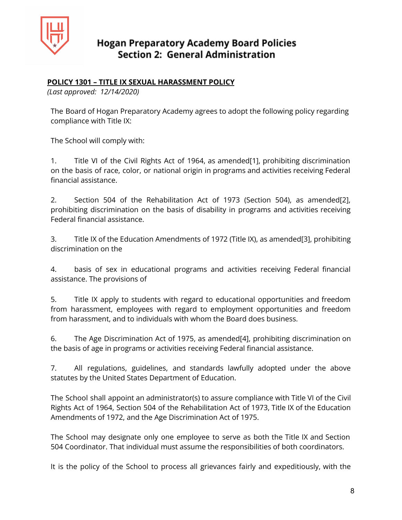

#### **POLICY 1301 – TITLE IX SEXUAL HARASSMENT POLICY**

*(Last approved: 12/14/2020)*

The Board of Hogan Preparatory Academy agrees to adopt the following policy regarding compliance with Title IX:

The School will comply with:

1. Title VI of the Civil Rights Act of 1964, as amended[1], prohibiting discrimination on the basis of race, color, or national origin in programs and activities receiving Federal financial assistance.

2. Section 504 of the Rehabilitation Act of 1973 (Section 504), as amended[2], prohibiting discrimination on the basis of disability in programs and activities receiving Federal financial assistance.

3. Title IX of the Education Amendments of 1972 (Title IX), as amended[3], prohibiting discrimination on the

4. basis of sex in educational programs and activities receiving Federal financial assistance. The provisions of

5. Title IX apply to students with regard to educational opportunities and freedom from harassment, employees with regard to employment opportunities and freedom from harassment, and to individuals with whom the Board does business.

6. The Age Discrimination Act of 1975, as amended[4], prohibiting discrimination on the basis of age in programs or activities receiving Federal financial assistance.

7. All regulations, guidelines, and standards lawfully adopted under the above statutes by the United States Department of Education.

The School shall appoint an administrator(s) to assure compliance with Title VI of the Civil Rights Act of 1964, Section 504 of the Rehabilitation Act of 1973, Title IX of the Education Amendments of 1972, and the Age Discrimination Act of 1975.

The School may designate only one employee to serve as both the Title IX and Section 504 Coordinator. That individual must assume the responsibilities of both coordinators.

It is the policy of the School to process all grievances fairly and expeditiously, with the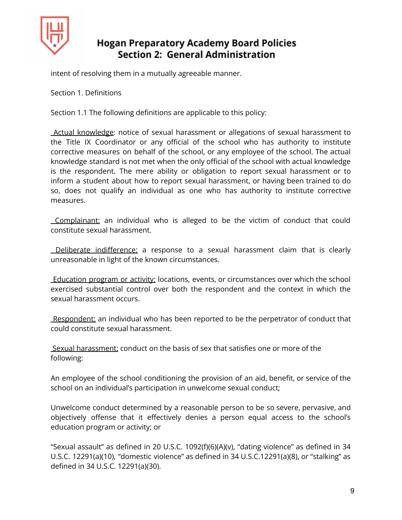

intent of resolving them in a mutually agreeable manner.

Section 1. Definitions

Section 1.1 The following definitions are applicable to this policy:

Actual knowledge: notice of sexual harassment or allegations of sexual harassment to the Title IX Coordinator or any official of the school who has authority to institute corrective measures on behalf of the school, or any employee of the school. The actual knowledge standard is not met when the only official of the school with actual knowledge is the respondent. The mere ability or obligation to report sexual harassment or to inform a student about how to report sexual harassment, or having been trained to do so, does not qualify an individual as one who has authority to institute corrective measures.

Complainant: an individual who is alleged to be the victim of conduct that could constitute sexual harassment.

Deliberate indifference: a response to a sexual harassment claim that is clearly unreasonable in light of the known circumstances.

Education program or activity: locations, events, or circumstances over which the school exercised substantial control over both the respondent and the context in which the sexual harassment occurs.

Respondent: an individual who has been reported to be the perpetrator of conduct that could constitute sexual harassment.

Sexual harassment: conduct on the basis of sex that satisfies one or more of the following:

An employee of the school conditioning the provision of an aid, benefit, or service of the school on an individual's participation in unwelcome sexual conduct;

Unwelcome conduct determined by a reasonable person to be so severe, pervasive, and objectively offense that it effectively denies a person equal access to the school's education program or activity; or

"Sexual assault" as defined in 20 U.S.C. 1092(f)(6)(A)(v), "dating violence" as defined in 34 U.S.C. 12291(a)(10), "domestic violence" as defined in 34 U.S.C.12291(a)(8), or "stalking" as defined in 34 U.S.C. 12291(a)(30).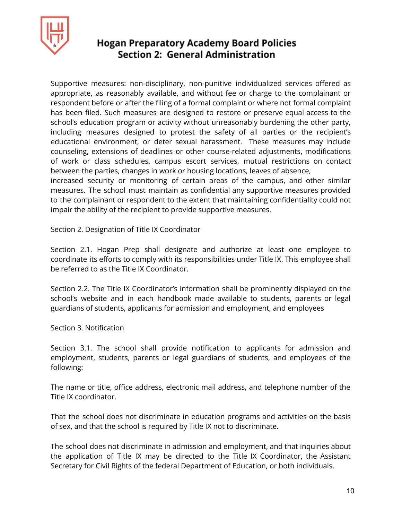

Supportive measures: non-disciplinary, non-punitive individualized services offered as appropriate, as reasonably available, and without fee or charge to the complainant or respondent before or after the filing of a formal complaint or where not formal complaint has been filed. Such measures are designed to restore or preserve equal access to the school's education program or activity without unreasonably burdening the other party, including measures designed to protest the safety of all parties or the recipient's educational environment, or deter sexual harassment. These measures may include counseling, extensions of deadlines or other course-related adjustments, modifications of work or class schedules, campus escort services, mutual restrictions on contact between the parties, changes in work or housing locations, leaves of absence,

increased security or monitoring of certain areas of the campus, and other similar measures. The school must maintain as confidential any supportive measures provided to the complainant or respondent to the extent that maintaining confidentiality could not impair the ability of the recipient to provide supportive measures.

Section 2. Designation of Title IX Coordinator

Section 2.1. Hogan Prep shall designate and authorize at least one employee to coordinate its efforts to comply with its responsibilities under Title IX. This employee shall be referred to as the Title IX Coordinator.

Section 2.2. The Title IX Coordinator's information shall be prominently displayed on the school's website and in each handbook made available to students, parents or legal guardians of students, applicants for admission and employment, and employees

#### Section 3. Notification

Section 3.1. The school shall provide notification to applicants for admission and employment, students, parents or legal guardians of students, and employees of the following:

The name or title, office address, electronic mail address, and telephone number of the Title IX coordinator.

That the school does not discriminate in education programs and activities on the basis of sex, and that the school is required by Title IX not to discriminate.

The school does not discriminate in admission and employment, and that inquiries about the application of Title IX may be directed to the Title IX Coordinator, the Assistant Secretary for Civil Rights of the federal Department of Education, or both individuals.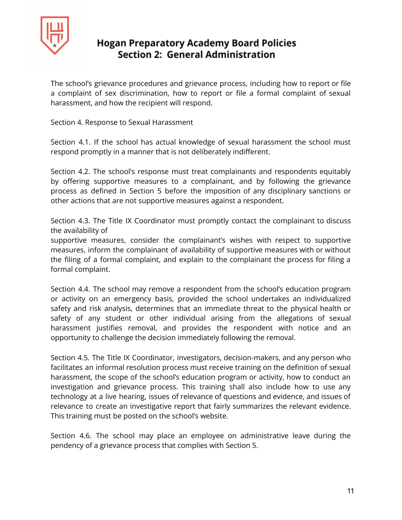

The school's grievance procedures and grievance process, including how to report or file a complaint of sex discrimination, how to report or file a formal complaint of sexual harassment, and how the recipient will respond.

Section 4. Response to Sexual Harassment

Section 4.1. If the school has actual knowledge of sexual harassment the school must respond promptly in a manner that is not deliberately indifferent.

Section 4.2. The school's response must treat complainants and respondents equitably by offering supportive measures to a complainant, and by following the grievance process as defined in Section 5 before the imposition of any disciplinary sanctions or other actions that are not supportive measures against a respondent.

Section 4.3. The Title IX Coordinator must promptly contact the complainant to discuss the availability of

supportive measures, consider the complainant's wishes with respect to supportive measures, inform the complainant of availability of supportive measures with or without the filing of a formal complaint, and explain to the complainant the process for filing a formal complaint.

Section 4.4. The school may remove a respondent from the school's education program or activity on an emergency basis, provided the school undertakes an individualized safety and risk analysis, determines that an immediate threat to the physical health or safety of any student or other individual arising from the allegations of sexual harassment justifies removal, and provides the respondent with notice and an opportunity to challenge the decision immediately following the removal.

Section 4.5. The Title IX Coordinator, investigators, decision-makers, and any person who facilitates an informal resolution process must receive training on the definition of sexual harassment, the scope of the school's education program or activity, how to conduct an investigation and grievance process. This training shall also include how to use any technology at a live hearing, issues of relevance of questions and evidence, and issues of relevance to create an investigative report that fairly summarizes the relevant evidence. This training must be posted on the school's website.

Section 4.6. The school may place an employee on administrative leave during the pendency of a grievance process that complies with Section 5.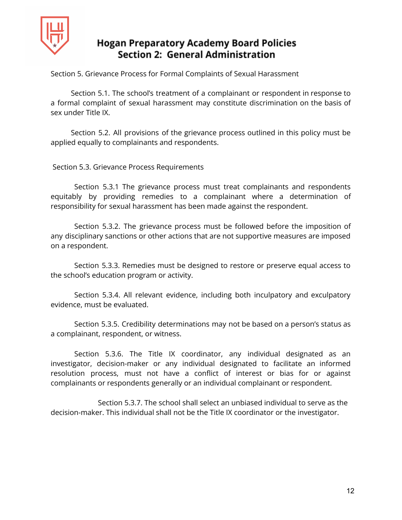

Section 5. Grievance Process for Formal Complaints of Sexual Harassment

Section 5.1. The school's treatment of a complainant or respondent in response to a formal complaint of sexual harassment may constitute discrimination on the basis of sex under Title IX.

Section 5.2. All provisions of the grievance process outlined in this policy must be applied equally to complainants and respondents.

Section 5.3. Grievance Process Requirements

Section 5.3.1 The grievance process must treat complainants and respondents equitably by providing remedies to a complainant where a determination of responsibility for sexual harassment has been made against the respondent.

Section 5.3.2. The grievance process must be followed before the imposition of any disciplinary sanctions or other actions that are not supportive measures are imposed on a respondent.

Section 5.3.3. Remedies must be designed to restore or preserve equal access to the school's education program or activity.

Section 5.3.4. All relevant evidence, including both inculpatory and exculpatory evidence, must be evaluated.

Section 5.3.5. Credibility determinations may not be based on a person's status as a complainant, respondent, or witness.

Section 5.3.6. The Title IX coordinator, any individual designated as an investigator, decision-maker or any individual designated to facilitate an informed resolution process, must not have a conflict of interest or bias for or against complainants or respondents generally or an individual complainant or respondent.

Section 5.3.7. The school shall select an unbiased individual to serve as the decision-maker. This individual shall not be the Title IX coordinator or the investigator.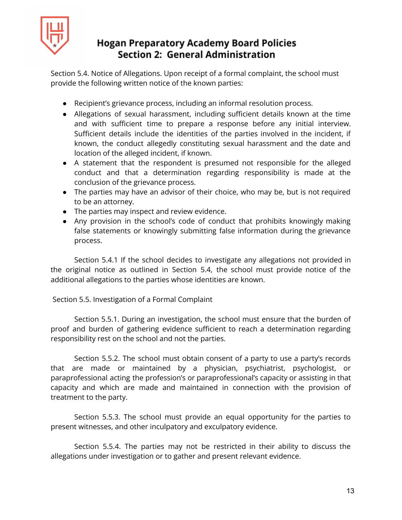

Section 5.4. Notice of Allegations. Upon receipt of a formal complaint, the school must provide the following written notice of the known parties:

- Recipient's grievance process, including an informal resolution process.
- Allegations of sexual harassment, including sufficient details known at the time and with sufficient time to prepare a response before any initial interview. Sufficient details include the identities of the parties involved in the incident, if known, the conduct allegedly constituting sexual harassment and the date and location of the alleged incident, if known.
- A statement that the respondent is presumed not responsible for the alleged conduct and that a determination regarding responsibility is made at the conclusion of the grievance process.
- The parties may have an advisor of their choice, who may be, but is not required to be an attorney.
- The parties may inspect and review evidence.
- Any provision in the school's code of conduct that prohibits knowingly making false statements or knowingly submitting false information during the grievance process.

Section 5.4.1 If the school decides to investigate any allegations not provided in the original notice as outlined in Section 5.4, the school must provide notice of the additional allegations to the parties whose identities are known.

#### Section 5.5. Investigation of a Formal Complaint

Section 5.5.1. During an investigation, the school must ensure that the burden of proof and burden of gathering evidence sufficient to reach a determination regarding responsibility rest on the school and not the parties.

Section 5.5.2. The school must obtain consent of a party to use a party's records that are made or maintained by a physician, psychiatrist, psychologist, or paraprofessional acting the profession's or paraprofessional's capacity or assisting in that capacity and which are made and maintained in connection with the provision of treatment to the party.

Section 5.5.3. The school must provide an equal opportunity for the parties to present witnesses, and other inculpatory and exculpatory evidence.

Section 5.5.4. The parties may not be restricted in their ability to discuss the allegations under investigation or to gather and present relevant evidence.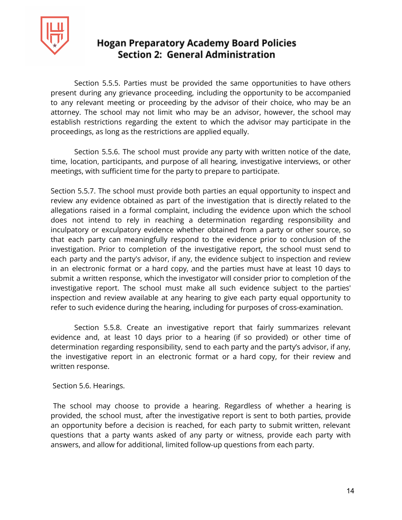

Section 5.5.5. Parties must be provided the same opportunities to have others present during any grievance proceeding, including the opportunity to be accompanied to any relevant meeting or proceeding by the advisor of their choice, who may be an attorney. The school may not limit who may be an advisor, however, the school may establish restrictions regarding the extent to which the advisor may participate in the proceedings, as long as the restrictions are applied equally.

Section 5.5.6. The school must provide any party with written notice of the date, time, location, participants, and purpose of all hearing, investigative interviews, or other meetings, with sufficient time for the party to prepare to participate.

Section 5.5.7. The school must provide both parties an equal opportunity to inspect and review any evidence obtained as part of the investigation that is directly related to the allegations raised in a formal complaint, including the evidence upon which the school does not intend to rely in reaching a determination regarding responsibility and inculpatory or exculpatory evidence whether obtained from a party or other source, so that each party can meaningfully respond to the evidence prior to conclusion of the investigation. Prior to completion of the investigative report, the school must send to each party and the party's advisor, if any, the evidence subject to inspection and review in an electronic format or a hard copy, and the parties must have at least 10 days to submit a written response, which the investigator will consider prior to completion of the investigative report. The school must make all such evidence subject to the parties' inspection and review available at any hearing to give each party equal opportunity to refer to such evidence during the hearing, including for purposes of cross-examination.

Section 5.5.8. Create an investigative report that fairly summarizes relevant evidence and, at least 10 days prior to a hearing (if so provided) or other time of determination regarding responsibility, send to each party and the party's advisor, if any, the investigative report in an electronic format or a hard copy, for their review and written response.

Section 5.6. Hearings.

The school may choose to provide a hearing. Regardless of whether a hearing is provided, the school must, after the investigative report is sent to both parties, provide an opportunity before a decision is reached, for each party to submit written, relevant questions that a party wants asked of any party or witness, provide each party with answers, and allow for additional, limited follow-up questions from each party.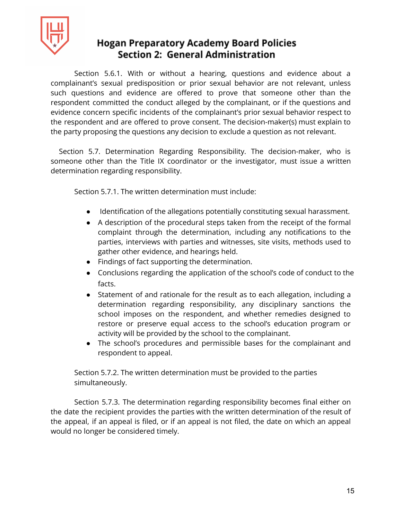

Section 5.6.1. With or without a hearing, questions and evidence about a complainant's sexual predisposition or prior sexual behavior are not relevant, unless such questions and evidence are offered to prove that someone other than the respondent committed the conduct alleged by the complainant, or if the questions and evidence concern specific incidents of the complainant's prior sexual behavior respect to the respondent and are offered to prove consent. The decision-maker(s) must explain to the party proposing the questions any decision to exclude a question as not relevant.

Section 5.7. Determination Regarding Responsibility. The decision-maker, who is someone other than the Title IX coordinator or the investigator, must issue a written determination regarding responsibility.

Section 5.7.1. The written determination must include:

- Identification of the allegations potentially constituting sexual harassment.
- A description of the procedural steps taken from the receipt of the formal complaint through the determination, including any notifications to the parties, interviews with parties and witnesses, site visits, methods used to gather other evidence, and hearings held.
- Findings of fact supporting the determination.
- Conclusions regarding the application of the school's code of conduct to the facts.
- Statement of and rationale for the result as to each allegation, including a determination regarding responsibility, any disciplinary sanctions the school imposes on the respondent, and whether remedies designed to restore or preserve equal access to the school's education program or activity will be provided by the school to the complainant.
- The school's procedures and permissible bases for the complainant and respondent to appeal.

Section 5.7.2. The written determination must be provided to the parties simultaneously.

Section 5.7.3. The determination regarding responsibility becomes final either on the date the recipient provides the parties with the written determination of the result of the appeal, if an appeal is filed, or if an appeal is not filed, the date on which an appeal would no longer be considered timely.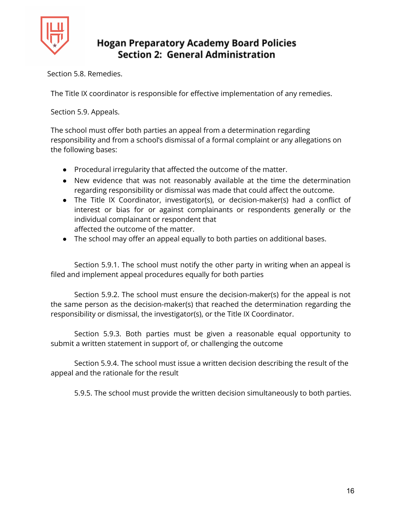

Section 5.8. Remedies.

The Title IX coordinator is responsible for effective implementation of any remedies.

Section 5.9. Appeals.

The school must offer both parties an appeal from a determination regarding responsibility and from a school's dismissal of a formal complaint or any allegations on the following bases:

- Procedural irregularity that affected the outcome of the matter.
- New evidence that was not reasonably available at the time the determination regarding responsibility or dismissal was made that could affect the outcome.
- The Title IX Coordinator, investigator(s), or decision-maker(s) had a conflict of interest or bias for or against complainants or respondents generally or the individual complainant or respondent that affected the outcome of the matter.
- The school may offer an appeal equally to both parties on additional bases.

Section 5.9.1. The school must notify the other party in writing when an appeal is filed and implement appeal procedures equally for both parties

Section 5.9.2. The school must ensure the decision-maker(s) for the appeal is not the same person as the decision-maker(s) that reached the determination regarding the responsibility or dismissal, the investigator(s), or the Title IX Coordinator.

Section 5.9.3. Both parties must be given a reasonable equal opportunity to submit a written statement in support of, or challenging the outcome

Section 5.9.4. The school must issue a written decision describing the result of the appeal and the rationale for the result

5.9.5. The school must provide the written decision simultaneously to both parties.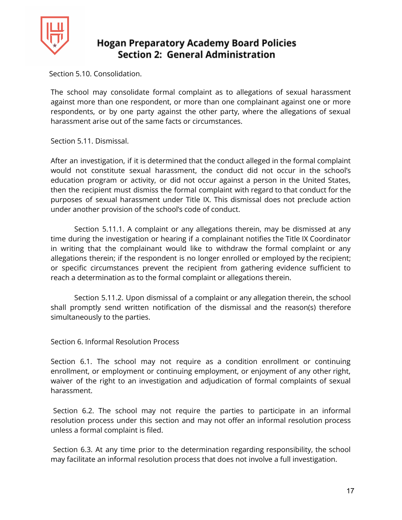

Section 5.10. Consolidation.

The school may consolidate formal complaint as to allegations of sexual harassment against more than one respondent, or more than one complainant against one or more respondents, or by one party against the other party, where the allegations of sexual harassment arise out of the same facts or circumstances.

Section 5.11. Dismissal.

After an investigation, if it is determined that the conduct alleged in the formal complaint would not constitute sexual harassment, the conduct did not occur in the school's education program or activity, or did not occur against a person in the United States, then the recipient must dismiss the formal complaint with regard to that conduct for the purposes of sexual harassment under Title IX. This dismissal does not preclude action under another provision of the school's code of conduct.

Section 5.11.1. A complaint or any allegations therein, may be dismissed at any time during the investigation or hearing if a complainant notifies the Title IX Coordinator in writing that the complainant would like to withdraw the formal complaint or any allegations therein; if the respondent is no longer enrolled or employed by the recipient; or specific circumstances prevent the recipient from gathering evidence sufficient to reach a determination as to the formal complaint or allegations therein.

Section 5.11.2. Upon dismissal of a complaint or any allegation therein, the school shall promptly send written notification of the dismissal and the reason(s) therefore simultaneously to the parties.

Section 6. Informal Resolution Process

Section 6.1. The school may not require as a condition enrollment or continuing enrollment, or employment or continuing employment, or enjoyment of any other right, waiver of the right to an investigation and adjudication of formal complaints of sexual harassment.

Section 6.2. The school may not require the parties to participate in an informal resolution process under this section and may not offer an informal resolution process unless a formal complaint is filed.

Section 6.3. At any time prior to the determination regarding responsibility, the school may facilitate an informal resolution process that does not involve a full investigation.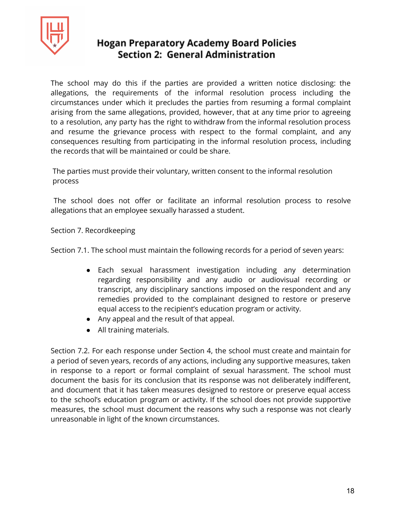

The school may do this if the parties are provided a written notice disclosing: the allegations, the requirements of the informal resolution process including the circumstances under which it precludes the parties from resuming a formal complaint arising from the same allegations, provided, however, that at any time prior to agreeing to a resolution, any party has the right to withdraw from the informal resolution process and resume the grievance process with respect to the formal complaint, and any consequences resulting from participating in the informal resolution process, including the records that will be maintained or could be share.

The parties must provide their voluntary, written consent to the informal resolution process

The school does not offer or facilitate an informal resolution process to resolve allegations that an employee sexually harassed a student.

Section 7. Recordkeeping

Section 7.1. The school must maintain the following records for a period of seven years:

- Each sexual harassment investigation including any determination regarding responsibility and any audio or audiovisual recording or transcript, any disciplinary sanctions imposed on the respondent and any remedies provided to the complainant designed to restore or preserve equal access to the recipient's education program or activity.
- Any appeal and the result of that appeal.
- All training materials.

Section 7.2. For each response under Section 4, the school must create and maintain for a period of seven years, records of any actions, including any supportive measures, taken in response to a report or formal complaint of sexual harassment. The school must document the basis for its conclusion that its response was not deliberately indifferent, and document that it has taken measures designed to restore or preserve equal access to the school's education program or activity. If the school does not provide supportive measures, the school must document the reasons why such a response was not clearly unreasonable in light of the known circumstances.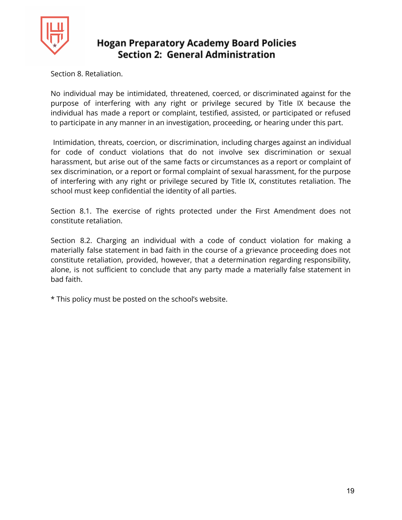

Section 8. Retaliation.

No individual may be intimidated, threatened, coerced, or discriminated against for the purpose of interfering with any right or privilege secured by Title IX because the individual has made a report or complaint, testified, assisted, or participated or refused to participate in any manner in an investigation, proceeding, or hearing under this part.

Intimidation, threats, coercion, or discrimination, including charges against an individual for code of conduct violations that do not involve sex discrimination or sexual harassment, but arise out of the same facts or circumstances as a report or complaint of sex discrimination, or a report or formal complaint of sexual harassment, for the purpose of interfering with any right or privilege secured by Title IX, constitutes retaliation. The school must keep confidential the identity of all parties.

Section 8.1. The exercise of rights protected under the First Amendment does not constitute retaliation.

Section 8.2. Charging an individual with a code of conduct violation for making a materially false statement in bad faith in the course of a grievance proceeding does not constitute retaliation, provided, however, that a determination regarding responsibility, alone, is not sufficient to conclude that any party made a materially false statement in bad faith.

\* This policy must be posted on the school's website.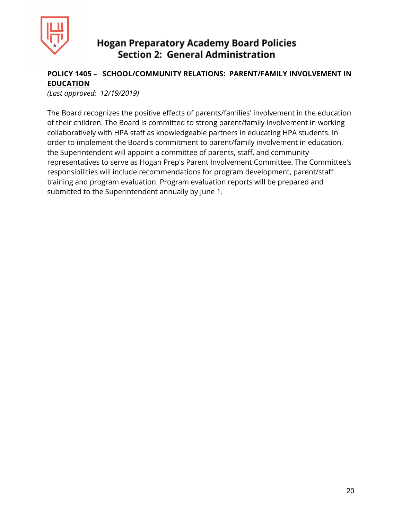

## **POLICY 1405 – SCHOOL/COMMUNITY RELATIONS: PARENT/FAMILY INVOLVEMENT IN EDUCATION**

*(Last approved: 12/19/2019)*

The Board recognizes the positive effects of parents/families' involvement in the education of their children. The Board is committed to strong parent/family involvement in working collaboratively with HPA staff as knowledgeable partners in educating HPA students. In order to implement the Board's commitment to parent/family involvement in education, the Superintendent will appoint a committee of parents, staff, and community representatives to serve as Hogan Prep's Parent Involvement Committee. The Committee's responsibilities will include recommendations for program development, parent/staff training and program evaluation. Program evaluation reports will be prepared and submitted to the Superintendent annually by June 1.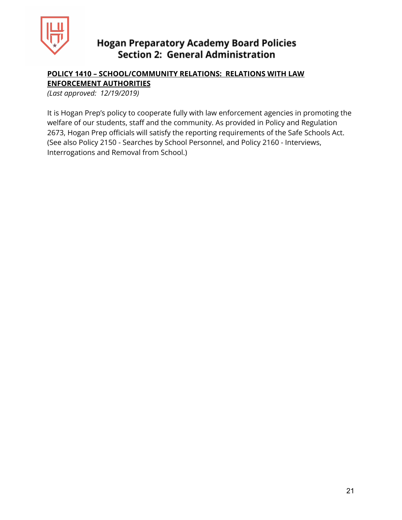

### **POLICY 1410 – SCHOOL/COMMUNITY RELATIONS: RELATIONS WITH LAW ENFORCEMENT AUTHORITIES**

*(Last approved: 12/19/2019)*

It is Hogan Prep's policy to cooperate fully with law enforcement agencies in promoting the welfare of our students, staff and the community. As provided in Policy and Regulation 2673, Hogan Prep officials will satisfy the reporting requirements of the Safe Schools Act. (See also Policy 2150 - Searches by School Personnel, and Policy 2160 - Interviews, Interrogations and Removal from School.)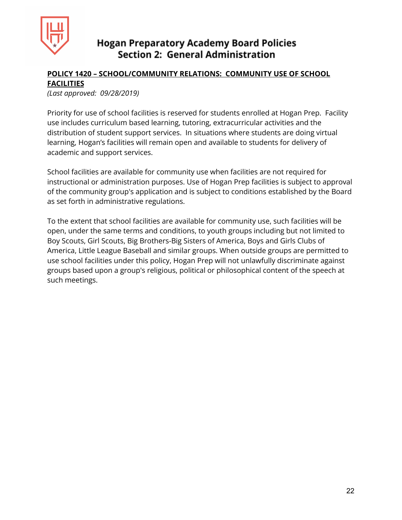

## **POLICY 1420 – SCHOOL/COMMUNITY RELATIONS: COMMUNITY USE OF SCHOOL FACILITIES**

*(Last approved: 09/28/2019)*

Priority for use of school facilities is reserved for students enrolled at Hogan Prep. Facility use includes curriculum based learning, tutoring, extracurricular activities and the distribution of student support services. In situations where students are doing virtual learning, Hogan's facilities will remain open and available to students for delivery of academic and support services.

School facilities are available for community use when facilities are not required for instructional or administration purposes. Use of Hogan Prep facilities is subject to approval of the community group's application and is subject to conditions established by the Board as set forth in administrative regulations.

To the extent that school facilities are available for community use, such facilities will be open, under the same terms and conditions, to youth groups including but not limited to Boy Scouts, Girl Scouts, Big Brothers-Big Sisters of America, Boys and Girls Clubs of America, Little League Baseball and similar groups. When outside groups are permitted to use school facilities under this policy, Hogan Prep will not unlawfully discriminate against groups based upon a group's religious, political or philosophical content of the speech at such meetings.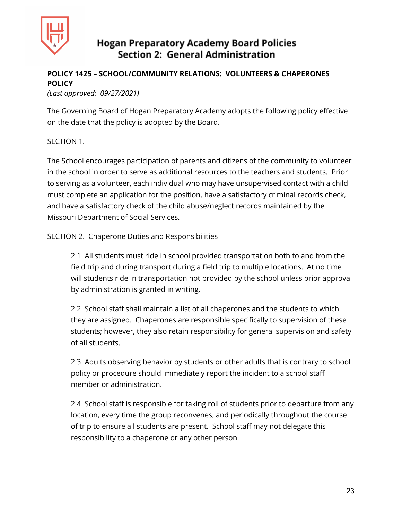

## **POLICY 1425 – SCHOOL/COMMUNITY RELATIONS: VOLUNTEERS & CHAPERONES POLICY**

#### *(Last approved: 09/27/2021)*

The Governing Board of Hogan Preparatory Academy adopts the following policy effective on the date that the policy is adopted by the Board.

#### SECTION 1.

The School encourages participation of parents and citizens of the community to volunteer in the school in order to serve as additional resources to the teachers and students. Prior to serving as a volunteer, each individual who may have unsupervised contact with a child must complete an application for the position, have a satisfactory criminal records check, and have a satisfactory check of the child abuse/neglect records maintained by the Missouri Department of Social Services.

SECTION 2. Chaperone Duties and Responsibilities

2.1 All students must ride in school provided transportation both to and from the field trip and during transport during a field trip to multiple locations. At no time will students ride in transportation not provided by the school unless prior approval by administration is granted in writing.

2.2 School staff shall maintain a list of all chaperones and the students to which they are assigned. Chaperones are responsible specifically to supervision of these students; however, they also retain responsibility for general supervision and safety of all students.

2.3 Adults observing behavior by students or other adults that is contrary to school policy or procedure should immediately report the incident to a school staff member or administration.

2.4 School staff is responsible for taking roll of students prior to departure from any location, every time the group reconvenes, and periodically throughout the course of trip to ensure all students are present. School staff may not delegate this responsibility to a chaperone or any other person.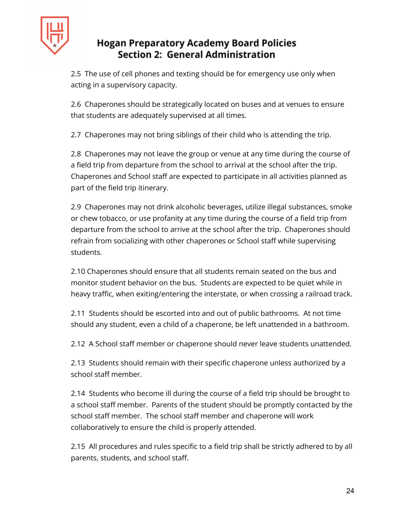

2.5 The use of cell phones and texting should be for emergency use only when acting in a supervisory capacity.

2.6 Chaperones should be strategically located on buses and at venues to ensure that students are adequately supervised at all times.

2.7 Chaperones may not bring siblings of their child who is attending the trip.

2.8 Chaperones may not leave the group or venue at any time during the course of a field trip from departure from the school to arrival at the school after the trip. Chaperones and School staff are expected to participate in all activities planned as part of the field trip itinerary.

2.9 Chaperones may not drink alcoholic beverages, utilize illegal substances, smoke or chew tobacco, or use profanity at any time during the course of a field trip from departure from the school to arrive at the school after the trip. Chaperones should refrain from socializing with other chaperones or School staff while supervising students.

2.10 Chaperones should ensure that all students remain seated on the bus and monitor student behavior on the bus. Students are expected to be quiet while in heavy traffic, when exiting/entering the interstate, or when crossing a railroad track.

2.11 Students should be escorted into and out of public bathrooms. At not time should any student, even a child of a chaperone, be left unattended in a bathroom.

2.12 A School staff member or chaperone should never leave students unattended.

2.13 Students should remain with their specific chaperone unless authorized by a school staff member.

2.14 Students who become ill during the course of a field trip should be brought to a school staff member. Parents of the student should be promptly contacted by the school staff member. The school staff member and chaperone will work collaboratively to ensure the child is properly attended.

2.15 All procedures and rules specific to a field trip shall be strictly adhered to by all parents, students, and school staff.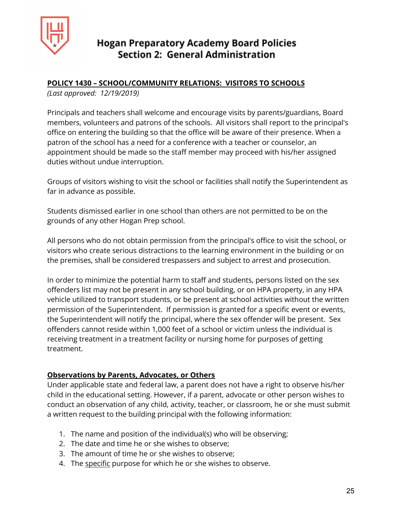

## **POLICY 1430 – SCHOOL/COMMUNITY RELATIONS: VISITORS TO SCHOOLS**

*(Last approved: 12/19/2019)*

Principals and teachers shall welcome and encourage visits by parents/guardians, Board members, volunteers and patrons of the schools. All visitors shall report to the principal's office on entering the building so that the office will be aware of their presence. When a patron of the school has a need for a conference with a teacher or counselor, an appointment should be made so the staff member may proceed with his/her assigned duties without undue interruption.

Groups of visitors wishing to visit the school or facilities shall notify the Superintendent as far in advance as possible.

Students dismissed earlier in one school than others are not permitted to be on the grounds of any other Hogan Prep school.

All persons who do not obtain permission from the principal's office to visit the school, or visitors who create serious distractions to the learning environment in the building or on the premises, shall be considered trespassers and subject to arrest and prosecution.

In order to minimize the potential harm to staff and students, persons listed on the sex offenders list may not be present in any school building, or on HPA property, in any HPA vehicle utilized to transport students, or be present at school activities without the written permission of the Superintendent. If permission is granted for a specific event or events, the Superintendent will notify the principal, where the sex offender will be present. Sex offenders cannot reside within 1,000 feet of a school or victim unless the individual is receiving treatment in a treatment facility or nursing home for purposes of getting treatment.

#### **Observations by Parents, Advocates, or Others**

Under applicable state and federal law, a parent does not have a right to observe his/her child in the educational setting. However, if a parent, advocate or other person wishes to conduct an observation of any child, activity, teacher, or classroom, he or she must submit a written request to the building principal with the following information:

- 1. The name and position of the individual(s) who will be observing;
- 2. The date and time he or she wishes to observe;
- 3. The amount of time he or she wishes to observe;
- 4. The specific purpose for which he or she wishes to observe.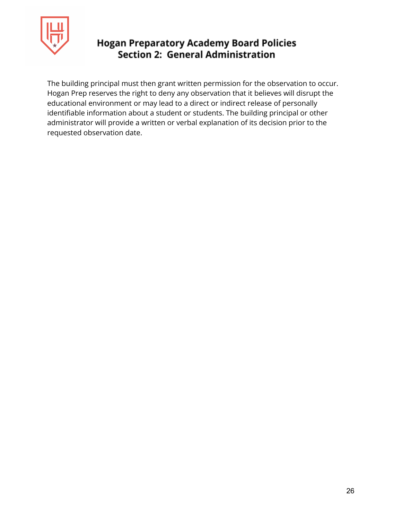

The building principal must then grant written permission for the observation to occur. Hogan Prep reserves the right to deny any observation that it believes will disrupt the educational environment or may lead to a direct or indirect release of personally identifiable information about a student or students. The building principal or other administrator will provide a written or verbal explanation of its decision prior to the requested observation date.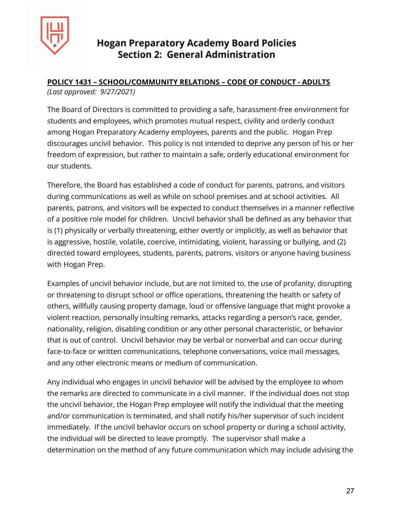

#### **POLICY 1431 – SCHOOL/COMMUNITY RELATIONS – CODE OF CONDUCT - ADULTS** *(Last approved: 9/27/2021)*

The Board of Directors is committed to providing a safe, harassment-free environment for students and employees, which promotes mutual respect, civility and orderly conduct among Hogan Preparatory Academy employees, parents and the public. Hogan Prep discourages uncivil behavior. This policy is not intended to deprive any person of his or her freedom of expression, but rather to maintain a safe, orderly educational environment for our students.

Therefore, the Board has established a code of conduct for parents, patrons, and visitors during communications as well as while on school premises and at school activities. All parents, patrons, and visitors will be expected to conduct themselves in a manner reflective of a positive role model for children. Uncivil behavior shall be defined as any behavior that is (1) physically or verbally threatening, either overtly or implicitly, as well as behavior that is aggressive, hostile, volatile, coercive, intimidating, violent, harassing or bullying, and (2) directed toward employees, students, parents, patrons, visitors or anyone having business with Hogan Prep.

Examples of uncivil behavior include, but are not limited to, the use of profanity, disrupting or threatening to disrupt school or office operations, threatening the health or safety of others, willfully causing property damage, loud or offensive language that might provoke a violent reaction, personally insulting remarks, attacks regarding a person's race, gender, nationality, religion, disabling condition or any other personal characteristic, or behavior that is out of control. Uncivil behavior may be verbal or nonverbal and can occur during face-to-face or written communications, telephone conversations, voice mail messages, and any other electronic means or medium of communication.

Any individual who engages in uncivil behavior will be advised by the employee to whom the remarks are directed to communicate in a civil manner. If the individual does not stop the uncivil behavior, the Hogan Prep employee will notify the individual that the meeting and/or communication is terminated, and shall notify his/her supervisor of such incident immediately. If the uncivil behavior occurs on school property or during a school activity, the individual will be directed to leave promptly. The supervisor shall make a determination on the method of any future communication which may include advising the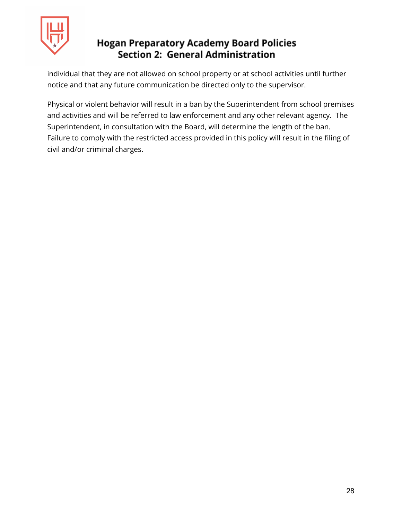

individual that they are not allowed on school property or at school activities until further notice and that any future communication be directed only to the supervisor.

Physical or violent behavior will result in a ban by the Superintendent from school premises and activities and will be referred to law enforcement and any other relevant agency. The Superintendent, in consultation with the Board, will determine the length of the ban. Failure to comply with the restricted access provided in this policy will result in the filing of civil and/or criminal charges.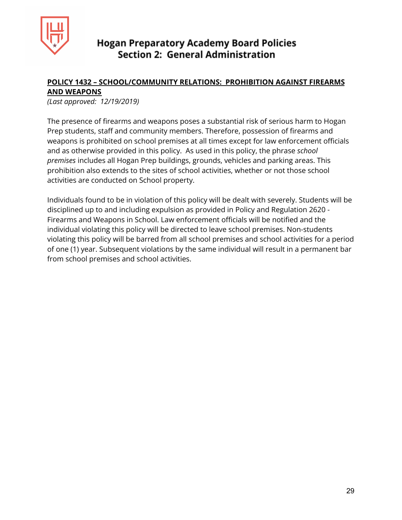

#### **POLICY 1432 – SCHOOL/COMMUNITY RELATIONS: PROHIBITION AGAINST FIREARMS AND WEAPONS**

*(Last approved: 12/19/2019)*

The presence of firearms and weapons poses a substantial risk of serious harm to Hogan Prep students, staff and community members. Therefore, possession of firearms and weapons is prohibited on school premises at all times except for law enforcement officials and as otherwise provided in this policy. As used in this policy, the phrase *school premises* includes all Hogan Prep buildings, grounds, vehicles and parking areas. This prohibition also extends to the sites of school activities, whether or not those school activities are conducted on School property.

Individuals found to be in violation of this policy will be dealt with severely. Students will be disciplined up to and including expulsion as provided in Policy and Regulation 2620 - Firearms and Weapons in School. Law enforcement officials will be notified and the individual violating this policy will be directed to leave school premises. Non-students violating this policy will be barred from all school premises and school activities for a period of one (1) year. Subsequent violations by the same individual will result in a permanent bar from school premises and school activities.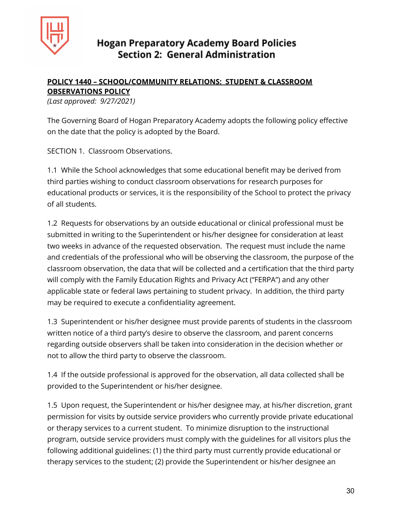

### **POLICY 1440 – SCHOOL/COMMUNITY RELATIONS: STUDENT & CLASSROOM OBSERVATIONS POLICY**

*(Last approved: 9/27/2021)*

The Governing Board of Hogan Preparatory Academy adopts the following policy effective on the date that the policy is adopted by the Board.

SECTION 1. Classroom Observations.

1.1 While the School acknowledges that some educational benefit may be derived from third parties wishing to conduct classroom observations for research purposes for educational products or services, it is the responsibility of the School to protect the privacy of all students.

1.2 Requests for observations by an outside educational or clinical professional must be submitted in writing to the Superintendent or his/her designee for consideration at least two weeks in advance of the requested observation. The request must include the name and credentials of the professional who will be observing the classroom, the purpose of the classroom observation, the data that will be collected and a certification that the third party will comply with the Family Education Rights and Privacy Act ("FERPA") and any other applicable state or federal laws pertaining to student privacy. In addition, the third party may be required to execute a confidentiality agreement.

1.3 Superintendent or his/her designee must provide parents of students in the classroom written notice of a third party's desire to observe the classroom, and parent concerns regarding outside observers shall be taken into consideration in the decision whether or not to allow the third party to observe the classroom.

1.4 If the outside professional is approved for the observation, all data collected shall be provided to the Superintendent or his/her designee.

1.5 Upon request, the Superintendent or his/her designee may, at his/her discretion, grant permission for visits by outside service providers who currently provide private educational or therapy services to a current student. To minimize disruption to the instructional program, outside service providers must comply with the guidelines for all visitors plus the following additional guidelines: (1) the third party must currently provide educational or therapy services to the student; (2) provide the Superintendent or his/her designee an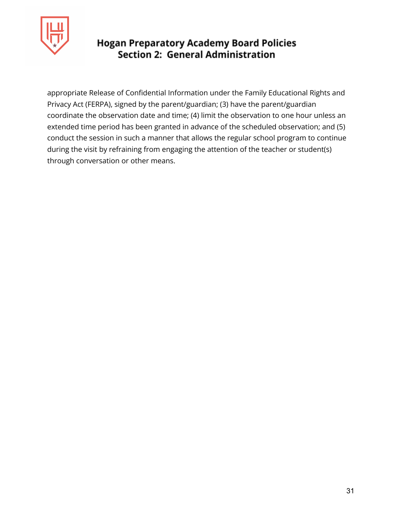

appropriate Release of Confidential Information under the Family Educational Rights and Privacy Act (FERPA), signed by the parent/guardian; (3) have the parent/guardian coordinate the observation date and time; (4) limit the observation to one hour unless an extended time period has been granted in advance of the scheduled observation; and (5) conduct the session in such a manner that allows the regular school program to continue during the visit by refraining from engaging the attention of the teacher or student(s) through conversation or other means.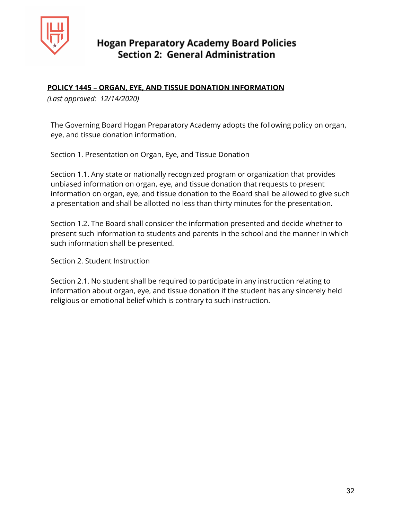

#### **POLICY 1445 – ORGAN, EYE, AND TISSUE DONATION INFORMATION**

*(Last approved: 12/14/2020)*

The Governing Board Hogan Preparatory Academy adopts the following policy on organ, eye, and tissue donation information.

Section 1. Presentation on Organ, Eye, and Tissue Donation

Section 1.1. Any state or nationally recognized program or organization that provides unbiased information on organ, eye, and tissue donation that requests to present information on organ, eye, and tissue donation to the Board shall be allowed to give such a presentation and shall be allotted no less than thirty minutes for the presentation.

Section 1.2. The Board shall consider the information presented and decide whether to present such information to students and parents in the school and the manner in which such information shall be presented.

Section 2. Student Instruction

Section 2.1. No student shall be required to participate in any instruction relating to information about organ, eye, and tissue donation if the student has any sincerely held religious or emotional belief which is contrary to such instruction.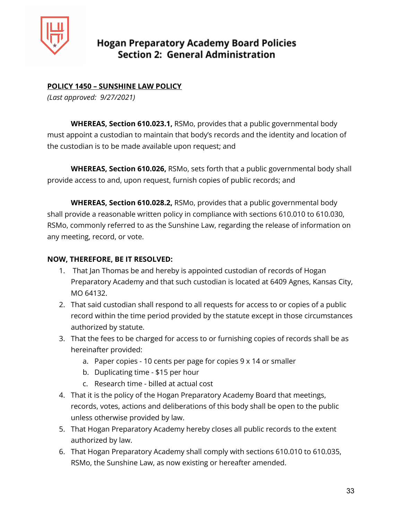

## **POLICY 1450 – SUNSHINE LAW POLICY**

*(Last approved: 9/27/2021)*

**WHEREAS, Section 610.023.1,** RSMo, provides that a public governmental body must appoint a custodian to maintain that body's records and the identity and location of the custodian is to be made available upon request; and

**WHEREAS, Section 610.026,** RSMo, sets forth that a public governmental body shall provide access to and, upon request, furnish copies of public records; and

**WHEREAS, Section 610.028.2,** RSMo, provides that a public governmental body shall provide a reasonable written policy in compliance with sections 610.010 to 610.030, RSMo, commonly referred to as the Sunshine Law, regarding the release of information on any meeting, record, or vote.

#### **NOW, THEREFORE, BE IT RESOLVED:**

- 1. That Jan Thomas be and hereby is appointed custodian of records of Hogan Preparatory Academy and that such custodian is located at 6409 Agnes, Kansas City, MO 64132.
- 2. That said custodian shall respond to all requests for access to or copies of a public record within the time period provided by the statute except in those circumstances authorized by statute.
- 3. That the fees to be charged for access to or furnishing copies of records shall be as hereinafter provided:
	- a. Paper copies 10 cents per page for copies 9 x 14 or smaller
	- b. Duplicating time \$15 per hour
	- c. Research time billed at actual cost
- 4. That it is the policy of the Hogan Preparatory Academy Board that meetings, records, votes, actions and deliberations of this body shall be open to the public unless otherwise provided by law.
- 5. That Hogan Preparatory Academy hereby closes all public records to the extent authorized by law.
- 6. That Hogan Preparatory Academy shall comply with sections 610.010 to 610.035, RSMo, the Sunshine Law, as now existing or hereafter amended.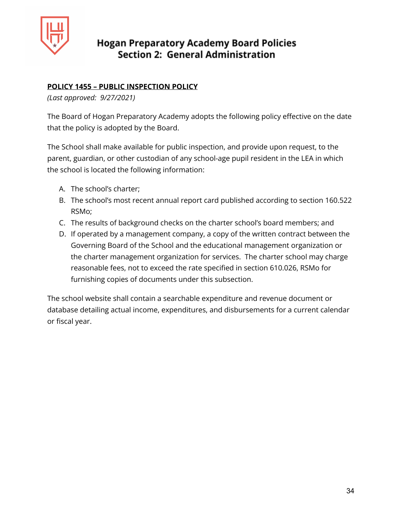

## **POLICY 1455 – PUBLIC INSPECTION POLICY**

*(Last approved: 9/27/2021)*

The Board of Hogan Preparatory Academy adopts the following policy effective on the date that the policy is adopted by the Board.

The School shall make available for public inspection, and provide upon request, to the parent, guardian, or other custodian of any school-age pupil resident in the LEA in which the school is located the following information:

- A. The school's charter;
- B. The school's most recent annual report card published according to section 160.522 RSMo;
- C. The results of background checks on the charter school's board members; and
- D. If operated by a management company, a copy of the written contract between the Governing Board of the School and the educational management organization or the charter management organization for services. The charter school may charge reasonable fees, not to exceed the rate specified in section 610.026, RSMo for furnishing copies of documents under this subsection.

The school website shall contain a searchable expenditure and revenue document or database detailing actual income, expenditures, and disbursements for a current calendar or fiscal year.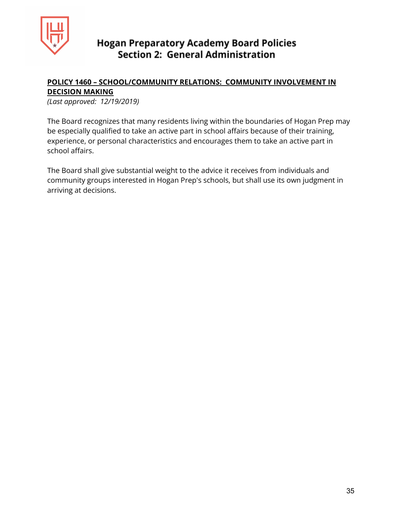

#### **POLICY 1460 – SCHOOL/COMMUNITY RELATIONS: COMMUNITY INVOLVEMENT IN DECISION MAKING**

*(Last approved: 12/19/2019)*

The Board recognizes that many residents living within the boundaries of Hogan Prep may be especially qualified to take an active part in school affairs because of their training, experience, or personal characteristics and encourages them to take an active part in school affairs.

The Board shall give substantial weight to the advice it receives from individuals and community groups interested in Hogan Prep's schools, but shall use its own judgment in arriving at decisions.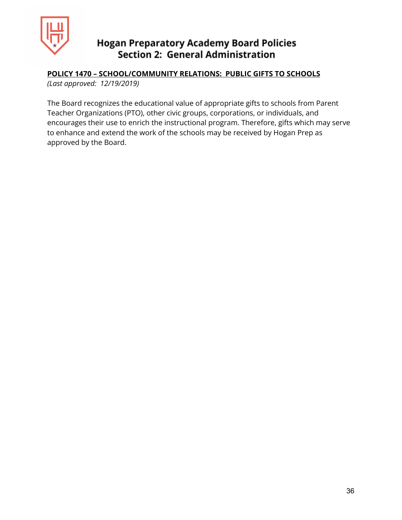

## **POLICY 1470 – SCHOOL/COMMUNITY RELATIONS: PUBLIC GIFTS TO SCHOOLS**

*(Last approved: 12/19/2019)*

The Board recognizes the educational value of appropriate gifts to schools from Parent Teacher Organizations (PTO), other civic groups, corporations, or individuals, and encourages their use to enrich the instructional program. Therefore, gifts which may serve to enhance and extend the work of the schools may be received by Hogan Prep as approved by the Board.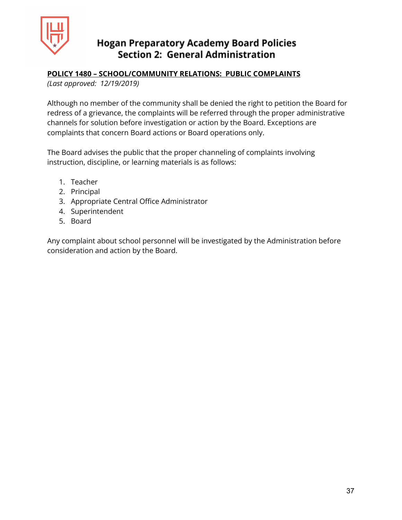

#### **POLICY 1480 – SCHOOL/COMMUNITY RELATIONS: PUBLIC COMPLAINTS**

*(Last approved: 12/19/2019)*

Although no member of the community shall be denied the right to petition the Board for redress of a grievance, the complaints will be referred through the proper administrative channels for solution before investigation or action by the Board. Exceptions are complaints that concern Board actions or Board operations only.

The Board advises the public that the proper channeling of complaints involving instruction, discipline, or learning materials is as follows:

- 1. Teacher
- 2. Principal
- 3. Appropriate Central Office Administrator
- 4. Superintendent
- 5. Board

Any complaint about school personnel will be investigated by the Administration before consideration and action by the Board.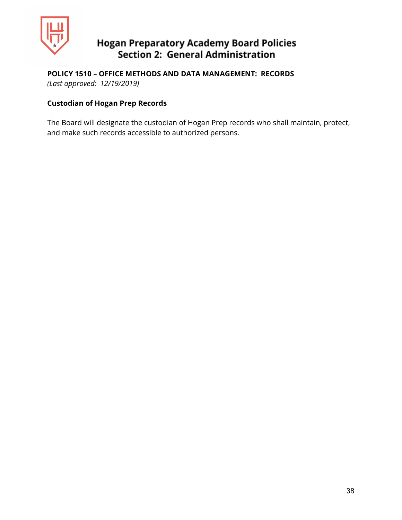

**POLICY 1510 – OFFICE METHODS AND DATA MANAGEMENT: RECORDS**

*(Last approved: 12/19/2019)*

## **Custodian of Hogan Prep Records**

The Board will designate the custodian of Hogan Prep records who shall maintain, protect, and make such records accessible to authorized persons.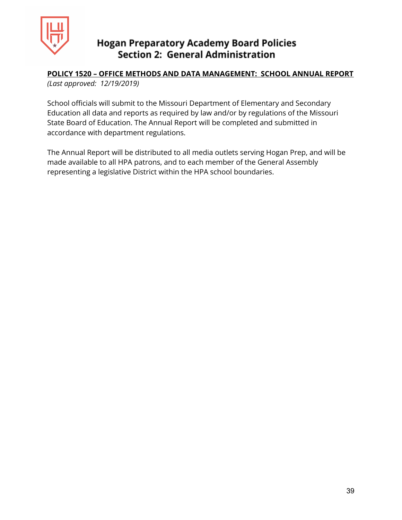

## **POLICY 1520 – OFFICE METHODS AND DATA MANAGEMENT: SCHOOL ANNUAL REPORT**

*(Last approved: 12/19/2019)*

School officials will submit to the Missouri Department of Elementary and Secondary Education all data and reports as required by law and/or by regulations of the Missouri State Board of Education. The Annual Report will be completed and submitted in accordance with department regulations.

The Annual Report will be distributed to all media outlets serving Hogan Prep, and will be made available to all HPA patrons, and to each member of the General Assembly representing a legislative District within the HPA school boundaries.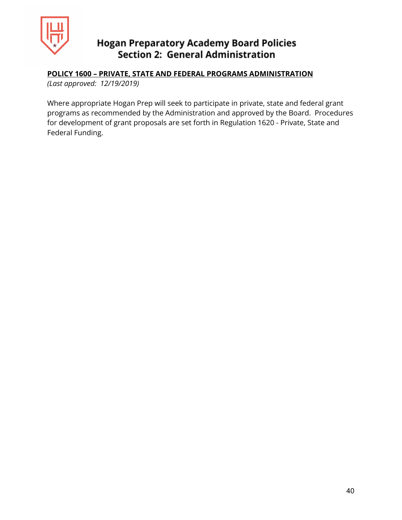

### **POLICY 1600 – PRIVATE, STATE AND FEDERAL PROGRAMS ADMINISTRATION**

*(Last approved: 12/19/2019)*

Where appropriate Hogan Prep will seek to participate in private, state and federal grant programs as recommended by the Administration and approved by the Board. Procedures for development of grant proposals are set forth in Regulation 1620 - Private, State and Federal Funding.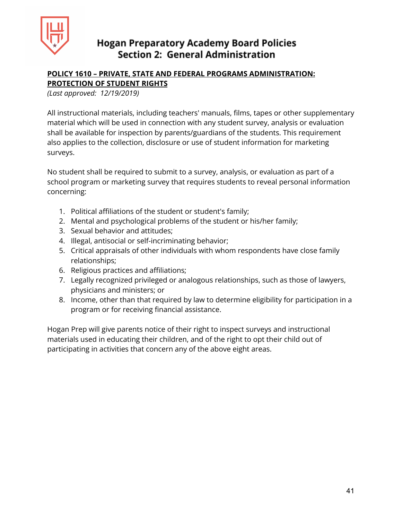

## **POLICY 1610 – PRIVATE, STATE AND FEDERAL PROGRAMS ADMINISTRATION: PROTECTION OF STUDENT RIGHTS**

*(Last approved: 12/19/2019)*

All instructional materials, including teachers' manuals, films, tapes or other supplementary material which will be used in connection with any student survey, analysis or evaluation shall be available for inspection by parents/guardians of the students. This requirement also applies to the collection, disclosure or use of student information for marketing surveys.

No student shall be required to submit to a survey, analysis, or evaluation as part of a school program or marketing survey that requires students to reveal personal information concerning:

- 1. Political affiliations of the student or student's family;
- 2. Mental and psychological problems of the student or his/her family;
- 3. Sexual behavior and attitudes;
- 4. Illegal, antisocial or self-incriminating behavior;
- 5. Critical appraisals of other individuals with whom respondents have close family relationships;
- 6. Religious practices and affiliations;
- 7. Legally recognized privileged or analogous relationships, such as those of lawyers, physicians and ministers; or
- 8. Income, other than that required by law to determine eligibility for participation in a program or for receiving financial assistance.

Hogan Prep will give parents notice of their right to inspect surveys and instructional materials used in educating their children, and of the right to opt their child out of participating in activities that concern any of the above eight areas.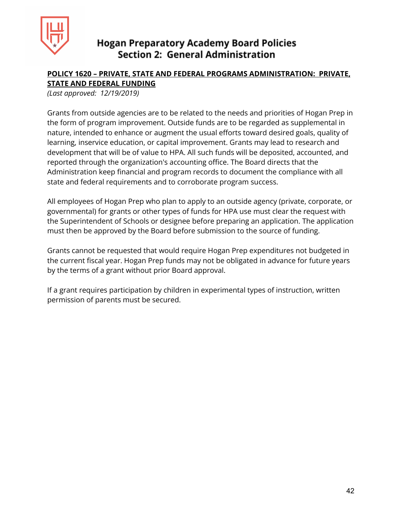

## **POLICY 1620 – PRIVATE, STATE AND FEDERAL PROGRAMS ADMINISTRATION: PRIVATE, STATE AND FEDERAL FUNDING**

*(Last approved: 12/19/2019)*

Grants from outside agencies are to be related to the needs and priorities of Hogan Prep in the form of program improvement. Outside funds are to be regarded as supplemental in nature, intended to enhance or augment the usual efforts toward desired goals, quality of learning, inservice education, or capital improvement. Grants may lead to research and development that will be of value to HPA. All such funds will be deposited, accounted, and reported through the organization's accounting office. The Board directs that the Administration keep financial and program records to document the compliance with all state and federal requirements and to corroborate program success.

All employees of Hogan Prep who plan to apply to an outside agency (private, corporate, or governmental) for grants or other types of funds for HPA use must clear the request with the Superintendent of Schools or designee before preparing an application. The application must then be approved by the Board before submission to the source of funding.

Grants cannot be requested that would require Hogan Prep expenditures not budgeted in the current fiscal year. Hogan Prep funds may not be obligated in advance for future years by the terms of a grant without prior Board approval.

If a grant requires participation by children in experimental types of instruction, written permission of parents must be secured.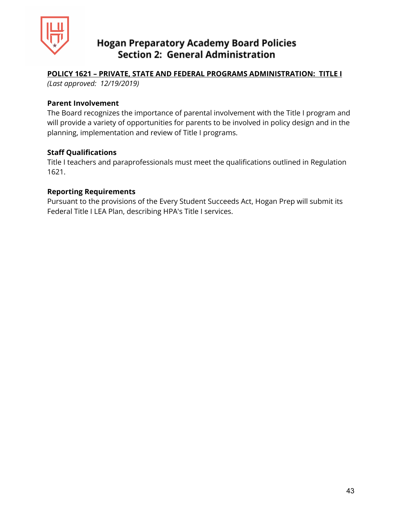

#### **POLICY 1621 – PRIVATE, STATE AND FEDERAL PROGRAMS ADMINISTRATION: TITLE I**

*(Last approved: 12/19/2019)*

#### **Parent Involvement**

The Board recognizes the importance of parental involvement with the Title I program and will provide a variety of opportunities for parents to be involved in policy design and in the planning, implementation and review of Title I programs.

#### **Staff Qualifications**

Title I teachers and paraprofessionals must meet the qualifications outlined in Regulation 1621.

#### **Reporting Requirements**

Pursuant to the provisions of the Every Student Succeeds Act, Hogan Prep will submit its Federal Title I LEA Plan, describing HPA's Title I services.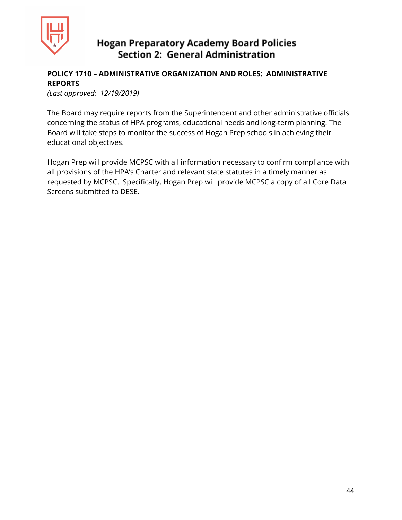

## **POLICY 1710 – ADMINISTRATIVE ORGANIZATION AND ROLES: ADMINISTRATIVE REPORTS**

*(Last approved: 12/19/2019)*

The Board may require reports from the Superintendent and other administrative officials concerning the status of HPA programs, educational needs and long-term planning. The Board will take steps to monitor the success of Hogan Prep schools in achieving their educational objectives.

Hogan Prep will provide MCPSC with all information necessary to confirm compliance with all provisions of the HPA's Charter and relevant state statutes in a timely manner as requested by MCPSC. Specifically, Hogan Prep will provide MCPSC a copy of all Core Data Screens submitted to DESE.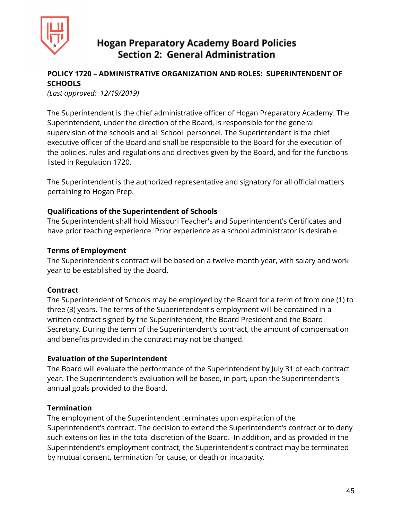

## **POLICY 1720 – ADMINISTRATIVE ORGANIZATION AND ROLES: SUPERINTENDENT OF SCHOOLS**

*(Last approved: 12/19/2019)*

The Superintendent is the chief administrative officer of Hogan Preparatory Academy. The Superintendent, under the direction of the Board, is responsible for the general supervision of the schools and all School personnel. The Superintendent is the chief executive officer of the Board and shall be responsible to the Board for the execution of the policies, rules and regulations and directives given by the Board, and for the functions listed in Regulation 1720.

The Superintendent is the authorized representative and signatory for all official matters pertaining to Hogan Prep.

#### **Qualifications of the Superintendent of Schools**

The Superintendent shall hold Missouri Teacher's and Superintendent's Certificates and have prior teaching experience. Prior experience as a school administrator is desirable.

#### **Terms of Employment**

The Superintendent's contract will be based on a twelve-month year, with salary and work year to be established by the Board.

#### **Contract**

The Superintendent of Schools may be employed by the Board for a term of from one (1) to three (3) years. The terms of the Superintendent's employment will be contained in a written contract signed by the Superintendent, the Board President and the Board Secretary. During the term of the Superintendent's contract, the amount of compensation and benefits provided in the contract may not be changed.

#### **Evaluation of the Superintendent**

The Board will evaluate the performance of the Superintendent by July 31 of each contract year. The Superintendent's evaluation will be based, in part, upon the Superintendent's annual goals provided to the Board.

#### **Termination**

The employment of the Superintendent terminates upon expiration of the Superintendent's contract. The decision to extend the Superintendent's contract or to deny such extension lies in the total discretion of the Board. In addition, and as provided in the Superintendent's employment contract, the Superintendent's contract may be terminated by mutual consent, termination for cause, or death or incapacity.